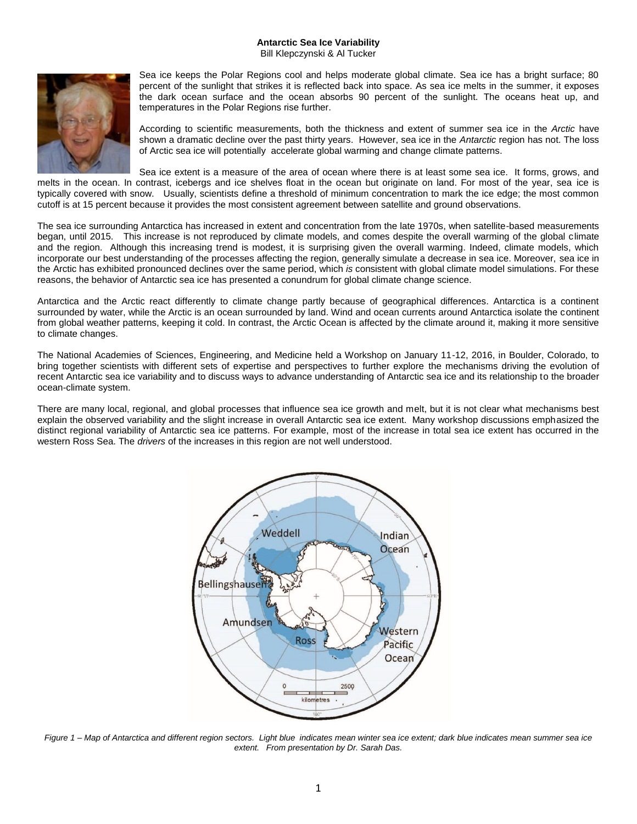## **Antarctic Sea Ice Variability** Bill Klepczynski & Al Tucker



Sea ice keeps the Polar Regions cool and helps moderate global climate. Sea ice has a bright surface; 80 percent of the sunlight that strikes it is reflected back into space. As sea ice melts in the summer, it exposes the dark ocean surface and the ocean absorbs 90 percent of the sunlight. The oceans heat up, and temperatures in the Polar Regions rise further.

According to scientific measurements, both the thickness and extent of summer sea ice in the *Arctic* have shown a dramatic decline over the past thirty years. However, sea ice in the *Antarctic* region has not. The loss of Arctic sea ice will potentially accelerate global warming and change climate patterns.

Sea ice extent is a measure of the area of ocean where there is at least some sea ice. It forms, grows, and melts in the ocean. In contrast, icebergs and ice shelves float in the ocean but originate on land. For most of the year, sea ice is typically covered with snow. Usually, scientists define a threshold of minimum concentration to mark the ice edge; the most common cutoff is at 15 percent because it provides the most consistent agreement between satellite and ground observations.

The sea ice surrounding Antarctica has increased in extent and concentration from the late 1970s, when satellite-based measurements began, until 2015. This increase is not reproduced by climate models, and comes despite the overall warming of the global climate and the region. Although this increasing trend is modest, it is surprising given the overall warming. Indeed, climate models, which incorporate our best understanding of the processes affecting the region, generally simulate a decrease in sea ice. Moreover, sea ice in the Arctic has exhibited pronounced declines over the same period, which *is* consistent with global climate model simulations. For these reasons, the behavior of Antarctic sea ice has presented a conundrum for global climate change science.

Antarctica and the Arctic react differently to climate change partly because of geographical differences. Antarctica is a continent surrounded by water, while the Arctic is an ocean surrounded by land. Wind and ocean currents around Antarctica isolate the continent from global weather patterns, keeping it cold. In contrast, the Arctic Ocean is affected by the climate around it, making it more sensitive to climate changes.

The National Academies of Sciences, Engineering, and Medicine held a Workshop on January 11-12, 2016, in Boulder, Colorado, to bring together scientists with different sets of expertise and perspectives to further explore the mechanisms driving the evolution of recent Antarctic sea ice variability and to discuss ways to advance understanding of Antarctic sea ice and its relationship to the broader ocean-climate system.

There are many local, regional, and global processes that influence sea ice growth and melt, but it is not clear what mechanisms best explain the observed variability and the slight increase in overall Antarctic sea ice extent. Many workshop discussions emphasized the distinct regional variability of Antarctic sea ice patterns. For example, most of the increase in total sea ice extent has occurred in the western Ross Sea. The *drivers* of the increases in this region are not well understood.



*Figure 1 – Map of Antarctica and different region sectors. Light blue indicates mean winter sea ice extent; dark blue indicates mean summer sea ice extent. From presentation by Dr. Sarah Das.*